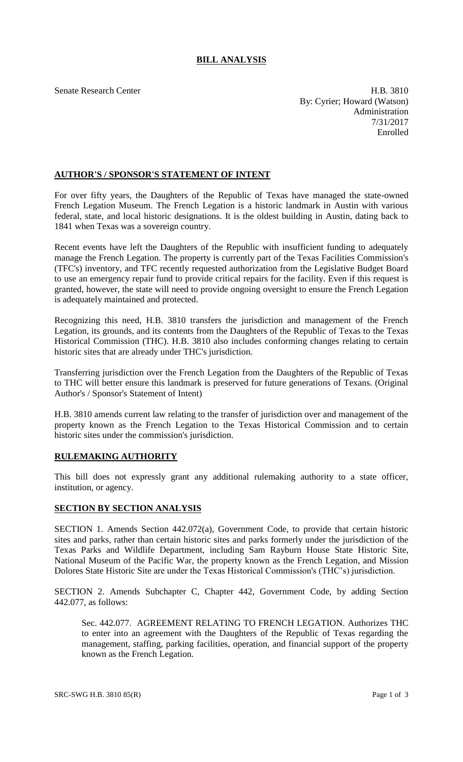## **BILL ANALYSIS**

Senate Research Center **H.B.** 3810 By: Cyrier; Howard (Watson) Administration 7/31/2017 Enrolled

## **AUTHOR'S / SPONSOR'S STATEMENT OF INTENT**

For over fifty years, the Daughters of the Republic of Texas have managed the state-owned French Legation Museum. The French Legation is a historic landmark in Austin with various federal, state, and local historic designations. It is the oldest building in Austin, dating back to 1841 when Texas was a sovereign country.

Recent events have left the Daughters of the Republic with insufficient funding to adequately manage the French Legation. The property is currently part of the Texas Facilities Commission's (TFC's) inventory, and TFC recently requested authorization from the Legislative Budget Board to use an emergency repair fund to provide critical repairs for the facility. Even if this request is granted, however, the state will need to provide ongoing oversight to ensure the French Legation is adequately maintained and protected.

Recognizing this need, H.B. 3810 transfers the jurisdiction and management of the French Legation, its grounds, and its contents from the Daughters of the Republic of Texas to the Texas Historical Commission (THC). H.B. 3810 also includes conforming changes relating to certain historic sites that are already under THC's jurisdiction.

Transferring jurisdiction over the French Legation from the Daughters of the Republic of Texas to THC will better ensure this landmark is preserved for future generations of Texans. (Original Author's / Sponsor's Statement of Intent)

H.B. 3810 amends current law relating to the transfer of jurisdiction over and management of the property known as the French Legation to the Texas Historical Commission and to certain historic sites under the commission's jurisdiction.

## **RULEMAKING AUTHORITY**

This bill does not expressly grant any additional rulemaking authority to a state officer, institution, or agency.

## **SECTION BY SECTION ANALYSIS**

SECTION 1. Amends Section 442.072(a), Government Code, to provide that certain historic sites and parks, rather than certain historic sites and parks formerly under the jurisdiction of the Texas Parks and Wildlife Department, including Sam Rayburn House State Historic Site, National Museum of the Pacific War, the property known as the French Legation, and Mission Dolores State Historic Site are under the Texas Historical Commission's (THC's) jurisdiction.

SECTION 2. Amends Subchapter C, Chapter 442, Government Code, by adding Section 442.077, as follows:

Sec. 442.077. AGREEMENT RELATING TO FRENCH LEGATION. Authorizes THC to enter into an agreement with the Daughters of the Republic of Texas regarding the management, staffing, parking facilities, operation, and financial support of the property known as the French Legation.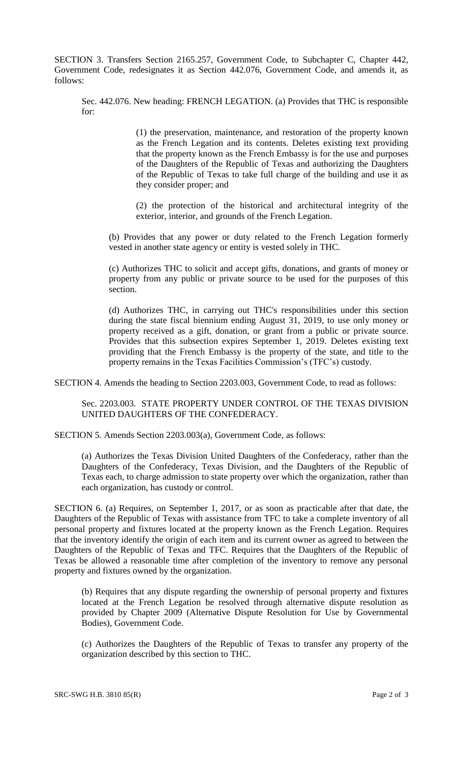SECTION 3. Transfers Section 2165.257, Government Code, to Subchapter C, Chapter 442, Government Code, redesignates it as Section 442.076, Government Code, and amends it, as follows:

Sec. 442.076. New heading: FRENCH LEGATION. (a) Provides that THC is responsible for:

> (1) the preservation, maintenance, and restoration of the property known as the French Legation and its contents. Deletes existing text providing that the property known as the French Embassy is for the use and purposes of the Daughters of the Republic of Texas and authorizing the Daughters of the Republic of Texas to take full charge of the building and use it as they consider proper; and

> (2) the protection of the historical and architectural integrity of the exterior, interior, and grounds of the French Legation.

(b) Provides that any power or duty related to the French Legation formerly vested in another state agency or entity is vested solely in THC.

(c) Authorizes THC to solicit and accept gifts, donations, and grants of money or property from any public or private source to be used for the purposes of this section.

(d) Authorizes THC, in carrying out THC's responsibilities under this section during the state fiscal biennium ending August 31, 2019, to use only money or property received as a gift, donation, or grant from a public or private source. Provides that this subsection expires September 1, 2019. Deletes existing text providing that the French Embassy is the property of the state, and title to the property remains in the Texas Facilities Commission's (TFC's) custody.

SECTION 4. Amends the heading to Section 2203.003, Government Code, to read as follows:

Sec. 2203.003. STATE PROPERTY UNDER CONTROL OF THE TEXAS DIVISION UNITED DAUGHTERS OF THE CONFEDERACY.

SECTION 5. Amends Section 2203.003(a), Government Code, as follows:

(a) Authorizes the Texas Division United Daughters of the Confederacy, rather than the Daughters of the Confederacy, Texas Division, and the Daughters of the Republic of Texas each, to charge admission to state property over which the organization, rather than each organization, has custody or control.

SECTION 6. (a) Requires, on September 1, 2017, or as soon as practicable after that date, the Daughters of the Republic of Texas with assistance from TFC to take a complete inventory of all personal property and fixtures located at the property known as the French Legation. Requires that the inventory identify the origin of each item and its current owner as agreed to between the Daughters of the Republic of Texas and TFC. Requires that the Daughters of the Republic of Texas be allowed a reasonable time after completion of the inventory to remove any personal property and fixtures owned by the organization.

(b) Requires that any dispute regarding the ownership of personal property and fixtures located at the French Legation be resolved through alternative dispute resolution as provided by Chapter 2009 (Alternative Dispute Resolution for Use by Governmental Bodies), Government Code.

(c) Authorizes the Daughters of the Republic of Texas to transfer any property of the organization described by this section to THC.